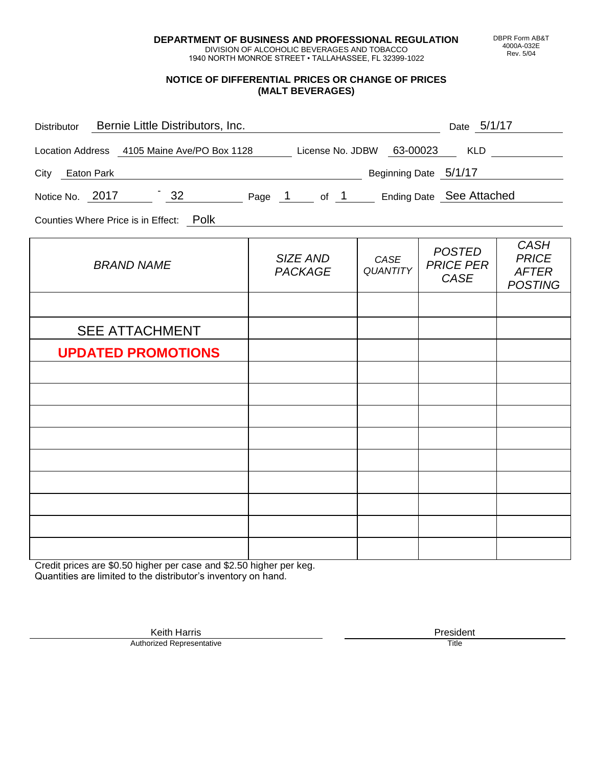**DEPARTMENT OF BUSINESS AND PROFESSIONAL REGULATION** DIVISION OF ALCOHOLIC BEVERAGES AND TOBACCO

1940 NORTH MONROE STREET • TALLAHASSEE, FL 32399-1022

**NOTICE OF DIFFERENTIAL PRICES OR CHANGE OF PRICES (MALT BEVERAGES)**

|                 |                       | Distributor Bernie Little Distributors, Inc.                              |                            |                         | Date 5/1/17                               |                                                               |
|-----------------|-----------------------|---------------------------------------------------------------------------|----------------------------|-------------------------|-------------------------------------------|---------------------------------------------------------------|
|                 |                       | Location Address 4105 Maine Ave/PO Box 1128 License No. JDBW 63-00023 KLD |                            |                         |                                           |                                                               |
| City Eaton Park |                       |                                                                           | Beginning Date 5/1/17      |                         |                                           |                                                               |
|                 |                       | Notice No. 2017 32 Page 1 of 1 Ending Date See Attached                   |                            |                         |                                           |                                                               |
|                 |                       | Counties Where Price is in Effect: Polk                                   |                            |                         |                                           |                                                               |
|                 | <b>BRAND NAME</b>     |                                                                           | SIZE AND<br><b>PACKAGE</b> | CASE<br><b>QUANTITY</b> | <b>POSTED</b><br><b>PRICE PER</b><br>CASE | <b>CASH</b><br><b>PRICE</b><br><b>AFTER</b><br><b>POSTING</b> |
|                 |                       |                                                                           |                            |                         |                                           |                                                               |
|                 | <b>SEE ATTACHMENT</b> |                                                                           |                            |                         |                                           |                                                               |
|                 |                       | <b>UPDATED PROMOTIONS</b>                                                 |                            |                         |                                           |                                                               |
|                 |                       |                                                                           |                            |                         |                                           |                                                               |
|                 |                       |                                                                           |                            |                         |                                           |                                                               |
|                 |                       |                                                                           |                            |                         |                                           |                                                               |
|                 |                       |                                                                           |                            |                         |                                           |                                                               |
|                 |                       |                                                                           |                            |                         |                                           |                                                               |
|                 |                       |                                                                           |                            |                         |                                           |                                                               |
|                 |                       |                                                                           |                            |                         |                                           |                                                               |

Credit prices are \$0.50 higher per case and \$2.50 higher per keg. Quantities are limited to the distributor's inventory on hand.

Authorized Representative

Keith Harris **President** President **President** President **President** President **President**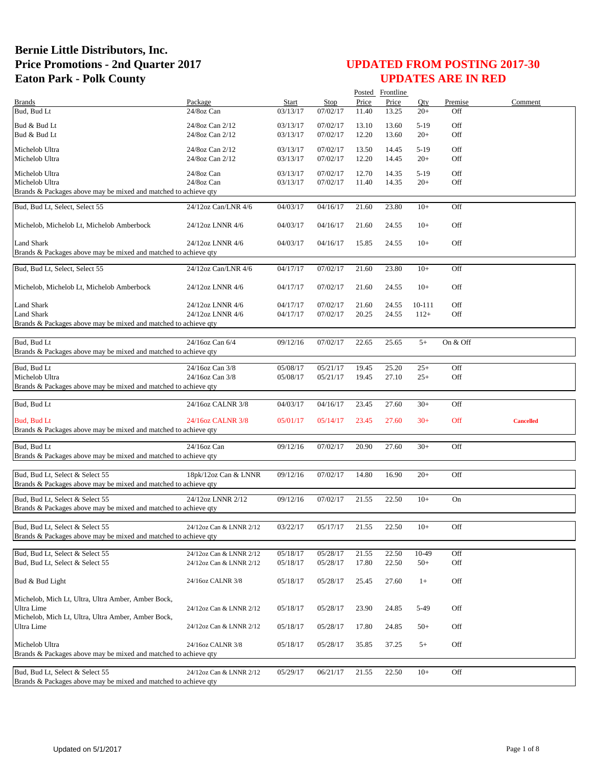|                                                                                                    |                         |          |             |       | Posted Frontline |        |          |                  |
|----------------------------------------------------------------------------------------------------|-------------------------|----------|-------------|-------|------------------|--------|----------|------------------|
| <b>Brands</b>                                                                                      | Package                 | Start    | <b>Stop</b> | Price | Price            | Oty    | Premise  | Comment          |
| Bud, Bud Lt                                                                                        | 24/8oz Can              | 03/13/17 | 07/02/17    | 11.40 | 13.25            | $20+$  | Off      |                  |
| Bud & Bud Lt                                                                                       | 24/8oz Can 2/12         | 03/13/17 | 07/02/17    | 13.10 | 13.60            | $5-19$ | Off      |                  |
| Bud & Bud Lt                                                                                       | 24/8oz Can 2/12         | 03/13/17 | 07/02/17    | 12.20 | 13.60            | $20+$  | Off      |                  |
|                                                                                                    |                         |          |             |       |                  |        |          |                  |
| Michelob Ultra                                                                                     | 24/8oz Can 2/12         | 03/13/17 | 07/02/17    | 13.50 | 14.45            | $5-19$ | Off      |                  |
| Michelob Ultra                                                                                     | 24/8oz Can 2/12         | 03/13/17 | 07/02/17    | 12.20 | 14.45            | $20+$  | Off      |                  |
| Michelob Ultra                                                                                     | 24/8oz Can              | 03/13/17 | 07/02/17    | 12.70 | 14.35            | $5-19$ | Off      |                  |
| Michelob Ultra                                                                                     | 24/8oz Can              | 03/13/17 | 07/02/17    | 11.40 | 14.35            | $20+$  | Off      |                  |
| Brands & Packages above may be mixed and matched to achieve qty                                    |                         |          |             |       |                  |        |          |                  |
|                                                                                                    |                         |          |             |       |                  |        |          |                  |
| Bud, Bud Lt, Select, Select 55                                                                     | 24/12oz Can/LNR 4/6     | 04/03/17 | 04/16/17    | 21.60 | 23.80            | $10+$  | Off      |                  |
|                                                                                                    |                         |          |             |       |                  |        |          |                  |
| Michelob, Michelob Lt, Michelob Amberbock                                                          | 24/12oz LNNR 4/6        | 04/03/17 | 04/16/17    | 21.60 | 24.55            | $10+$  | Off      |                  |
|                                                                                                    |                         |          |             |       |                  |        |          |                  |
| Land Shark                                                                                         | 24/12oz LNNR 4/6        | 04/03/17 | 04/16/17    | 15.85 | 24.55            | $10+$  | Off      |                  |
| Brands & Packages above may be mixed and matched to achieve qty                                    |                         |          |             |       |                  |        |          |                  |
|                                                                                                    |                         |          | 07/02/17    |       |                  |        |          |                  |
| Bud, Bud Lt, Select, Select 55                                                                     | 24/12oz Can/LNR 4/6     | 04/17/17 |             | 21.60 | 23.80            | $10+$  | Off      |                  |
| Michelob, Michelob Lt, Michelob Amberbock                                                          | 24/12oz LNNR 4/6        | 04/17/17 | 07/02/17    | 21.60 | 24.55            | $10+$  | Off      |                  |
|                                                                                                    |                         |          |             |       |                  |        |          |                  |
| <b>Land Shark</b>                                                                                  | 24/12oz LNNR 4/6        | 04/17/17 | 07/02/17    | 21.60 | 24.55            | 10-111 | Off      |                  |
| <b>Land Shark</b>                                                                                  | 24/12oz LNNR 4/6        | 04/17/17 | 07/02/17    | 20.25 | 24.55            | $112+$ | Off      |                  |
| Brands & Packages above may be mixed and matched to achieve qty                                    |                         |          |             |       |                  |        |          |                  |
|                                                                                                    |                         |          |             |       |                  |        |          |                  |
| Bud, Bud Lt                                                                                        | 24/16oz Can 6/4         | 09/12/16 | 07/02/17    | 22.65 | 25.65            | $5+$   | On & Off |                  |
| Brands & Packages above may be mixed and matched to achieve qty                                    |                         |          |             |       |                  |        |          |                  |
|                                                                                                    |                         |          |             |       |                  |        |          |                  |
| Bud, Bud Lt                                                                                        | 24/16oz Can 3/8         | 05/08/17 | 05/21/17    | 19.45 | 25.20            | $25+$  | Off      |                  |
| Michelob Ultra                                                                                     | 24/16oz Can 3/8         | 05/08/17 | 05/21/17    | 19.45 | 27.10            | $25+$  | Off      |                  |
| Brands & Packages above may be mixed and matched to achieve qty                                    |                         |          |             |       |                  |        |          |                  |
|                                                                                                    |                         |          |             |       |                  |        |          |                  |
| Bud, Bud Lt                                                                                        | 24/16oz CALNR 3/8       | 04/03/17 | 04/16/17    | 23.45 | 27.60            | $30+$  | Off      |                  |
|                                                                                                    |                         |          |             |       |                  |        |          |                  |
| Bud, Bud Lt                                                                                        | 24/16oz CALNR 3/8       | 05/01/17 | 05/14/17    | 23.45 | 27.60            | $30+$  | Off      | <b>Cancelled</b> |
| Brands & Packages above may be mixed and matched to achieve qty                                    |                         |          |             |       |                  |        |          |                  |
| Bud, Bud Lt                                                                                        |                         | 09/12/16 | 07/02/17    |       |                  |        | Off      |                  |
|                                                                                                    | 24/16oz Can             |          |             | 20.90 | 27.60            | $30+$  |          |                  |
| Brands & Packages above may be mixed and matched to achieve qty                                    |                         |          |             |       |                  |        |          |                  |
| Bud, Bud Lt, Select & Select 55                                                                    | 18pk/12oz Can & LNNR    | 09/12/16 | 07/02/17    | 14.80 | 16.90            | $20+$  | Off      |                  |
| Brands & Packages above may be mixed and matched to achieve qty                                    |                         |          |             |       |                  |        |          |                  |
|                                                                                                    |                         |          |             |       |                  |        |          |                  |
| Bud, Bud Lt, Select & Select 55                                                                    | 24/12oz LNNR 2/12       | 09/12/16 | 07/02/17    | 21.55 | 22.50            | $10+$  | On       |                  |
| Brands & Packages above may be mixed and matched to achieve qty                                    |                         |          |             |       |                  |        |          |                  |
|                                                                                                    |                         |          |             |       |                  |        |          |                  |
| Bud, Bud Lt, Select & Select 55                                                                    | 24/12oz Can & LNNR 2/12 | 03/22/17 | 05/17/17    | 21.55 | 22.50            | $10+$  | Off      |                  |
| Brands & Packages above may be mixed and matched to achieve gty                                    |                         |          |             |       |                  |        |          |                  |
|                                                                                                    |                         |          |             |       |                  |        |          |                  |
| Bud, Bud Lt, Select & Select 55                                                                    | 24/12oz Can & LNNR 2/12 | 05/18/17 | 05/28/17    | 21.55 | 22.50            | 10-49  | Off      |                  |
| Bud, Bud Lt, Select & Select 55                                                                    | 24/12oz Can & LNNR 2/12 | 05/18/17 | 05/28/17    | 17.80 | 22.50            | $50+$  | Off      |                  |
|                                                                                                    |                         |          |             |       |                  |        |          |                  |
| Bud & Bud Light                                                                                    | 24/16oz CALNR 3/8       | 05/18/17 | 05/28/17    | 25.45 | 27.60            | $1+$   | Off      |                  |
|                                                                                                    |                         |          |             |       |                  |        |          |                  |
| Michelob, Mich Lt, Ultra, Ultra Amber, Amber Bock,                                                 |                         |          |             |       |                  |        |          |                  |
| Ultra Lime                                                                                         | 24/12oz Can & LNNR 2/12 | 05/18/17 | 05/28/17    | 23.90 | 24.85            | 5-49   | Off      |                  |
| Michelob, Mich Lt, Ultra, Ultra Amber, Amber Bock,                                                 |                         |          |             |       |                  |        |          |                  |
| Ultra Lime                                                                                         | 24/12oz Can & LNNR 2/12 | 05/18/17 | 05/28/17    | 17.80 | 24.85            | $50+$  | Off      |                  |
|                                                                                                    |                         |          |             |       |                  |        |          |                  |
| Michelob Ultra                                                                                     | 24/16oz CALNR 3/8       | 05/18/17 | 05/28/17    | 35.85 | 37.25            | $5+$   | Off      |                  |
| Brands & Packages above may be mixed and matched to achieve qty                                    |                         |          |             |       |                  |        |          |                  |
|                                                                                                    |                         |          |             |       |                  |        |          |                  |
|                                                                                                    |                         |          |             |       |                  |        |          |                  |
| Bud, Bud Lt, Select & Select 55<br>Brands & Packages above may be mixed and matched to achieve qty | 24/12oz Can & LNNR 2/12 | 05/29/17 | 06/21/17    | 21.55 | 22.50            | $10+$  | Off      |                  |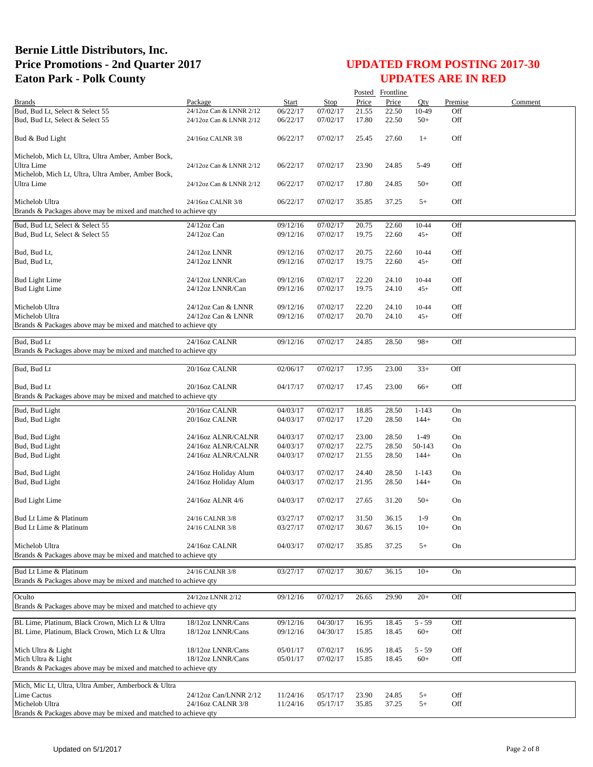|                                                                 |                                            |                      |                      |                | Posted Frontline |                |            |         |
|-----------------------------------------------------------------|--------------------------------------------|----------------------|----------------------|----------------|------------------|----------------|------------|---------|
| <b>Brands</b>                                                   | Package                                    | Start                | Stop                 | Price          | Price            | Oty            | Premise    | Comment |
| Bud, Bud Lt, Select & Select 55                                 | 24/12oz Can & LNNR 2/12                    | 06/22/17             | 07/02/17             | 21.55          | 22.50            | 10-49          | Off        |         |
| Bud, Bud Lt, Select & Select 55                                 | 24/12oz Can & LNNR 2/12                    | 06/22/17             | 07/02/17             | 17.80          | 22.50            | $50+$          | Off        |         |
| Bud & Bud Light                                                 | 24/16oz CALNR 3/8                          | 06/22/17             | 07/02/17             | 25.45          | 27.60            | $1+$           | Off        |         |
| Michelob, Mich Lt, Ultra, Ultra Amber, Amber Bock,              |                                            |                      |                      |                |                  |                |            |         |
| Ultra Lime                                                      | 24/12oz Can & LNNR 2/12                    | 06/22/17             | 07/02/17             | 23.90          | 24.85            | 5-49           | Off        |         |
| Michelob, Mich Lt, Ultra, Ultra Amber, Amber Bock,              |                                            |                      |                      |                |                  |                |            |         |
| <b>Ultra Lime</b>                                               | 24/12oz Can & LNNR 2/12                    | 06/22/17             | 07/02/17             | 17.80          | 24.85            | $50+$          | Off        |         |
| Michelob Ultra                                                  | 24/16oz CALNR 3/8                          | 06/22/17             | 07/02/17             | 35.85          | 37.25            | $5+$           | Off        |         |
| Brands & Packages above may be mixed and matched to achieve qty |                                            |                      |                      |                |                  |                |            |         |
| Bud, Bud Lt, Select & Select 55                                 | 24/12oz Can                                | 09/12/16             | 07/02/17             | 20.75          | 22.60            | 10-44          | Off        |         |
| Bud, Bud Lt, Select & Select 55                                 | $24/12$ oz Can                             | 09/12/16             | 07/02/17             | 19.75          | 22.60            | $45+$          | Off        |         |
| Bud, Bud Lt,                                                    | 24/12oz LNNR                               |                      | 07/02/17             | 20.75          | 22.60            | 10-44          | Off        |         |
| Bud, Bud Lt,                                                    | 24/12oz LNNR                               | 09/12/16<br>09/12/16 | 07/02/17             | 19.75          | 22.60            | $45+$          | Off        |         |
|                                                                 |                                            |                      |                      |                |                  |                |            |         |
| <b>Bud Light Lime</b>                                           | 24/12oz LNNR/Can                           | 09/12/16             | 07/02/17             | 22.20          | 24.10            | 10-44          | Off        |         |
| <b>Bud Light Lime</b>                                           | 24/12oz LNNR/Can                           | 09/12/16             | 07/02/17             | 19.75          | 24.10            | $45+$          | Off        |         |
| Michelob Ultra                                                  | 24/12oz Can & LNNR                         |                      | 07/02/17             |                |                  |                | Off        |         |
| Michelob Ultra                                                  | 24/12oz Can & LNNR                         | 09/12/16<br>09/12/16 | 07/02/17             | 22.20<br>20.70 | 24.10<br>24.10   | 10-44<br>$45+$ | Off        |         |
| Brands & Packages above may be mixed and matched to achieve qty |                                            |                      |                      |                |                  |                |            |         |
|                                                                 |                                            |                      |                      |                |                  |                |            |         |
| Bud, Bud Lt                                                     | 24/16oz CALNR                              | 09/12/16             | 07/02/17             | 24.85          | 28.50            | $98+$          | Off        |         |
| Brands & Packages above may be mixed and matched to achieve qty |                                            |                      |                      |                |                  |                |            |         |
| Bud, Bud Lt                                                     | 20/16oz CALNR                              | 02/06/17             | 07/02/17             | 17.95          | 23.00            | $33+$          | Off        |         |
|                                                                 |                                            |                      |                      |                |                  |                |            |         |
| Bud, Bud Lt                                                     | 20/16oz CALNR                              | 04/17/17             | 07/02/17             | 17.45          | 23.00            | $66+$          | Off        |         |
| Brands & Packages above may be mixed and matched to achieve qty |                                            |                      |                      |                |                  |                |            |         |
| Bud, Bud Light                                                  | 20/16oz CALNR                              | 04/03/17             | 07/02/17             | 18.85          | 28.50            | $1 - 143$      | On         |         |
| Bud, Bud Light                                                  | 20/16oz CALNR                              | 04/03/17             | 07/02/17             | 17.20          | 28.50            | $144+$         | On         |         |
|                                                                 |                                            |                      |                      |                |                  | $1-49$         |            |         |
| Bud, Bud Light<br>Bud, Bud Light                                | 24/16oz ALNR/CALNR<br>24/16oz ALNR/CALNR   | 04/03/17<br>04/03/17 | 07/02/17<br>07/02/17 | 23.00<br>22.75 | 28.50<br>28.50   | 50-143         | On<br>On   |         |
| Bud, Bud Light                                                  | 24/16oz ALNR/CALNR                         | 04/03/17             | 07/02/17             | 21.55          | 28.50            | $144+$         | On         |         |
|                                                                 |                                            |                      |                      |                |                  |                |            |         |
| Bud, Bud Light                                                  | 24/16oz Holiday Alum                       | 04/03/17             | 07/02/17             | 24.40          | 28.50            | $1 - 143$      | On         |         |
| Bud, Bud Light                                                  | 24/16oz Holiday Alum                       | 04/03/17             | 07/02/17             | 21.95          | 28.50            | $144+$         | On         |         |
| <b>Bud Light Lime</b>                                           | 24/16oz ALNR 4/6                           | 04/03/17             | 07/02/17             | 27.65          | 31.20            | $50+$          | On         |         |
|                                                                 |                                            |                      |                      |                |                  |                |            |         |
| Bud Lt Lime & Platinum                                          | 24/16 CALNR 3/8                            | 03/27/17             | 07/02/17             | 31.50          | 36.15            | $1-9$          | On         |         |
| Bud Lt Lime & Platinum                                          | 24/16 CALNR 3/8                            | 03/27/17             | 07/02/17             | 30.67          | 36.15            | $10+$          | On         |         |
|                                                                 |                                            |                      |                      |                |                  |                |            |         |
| Michelob Ultra                                                  | 24/16oz CALNR                              | 04/03/17             | 07/02/17             | 35.85          | 37.25            | $5+$           | On         |         |
| Brands & Packages above may be mixed and matched to achieve gty |                                            |                      |                      |                |                  |                |            |         |
| Bud Lt Lime & Platinum                                          | 24/16 CALNR 3/8                            | 03/27/17             | 07/02/17             | 30.67          | 36.15            | $10+$          | On         |         |
| Brands & Packages above may be mixed and matched to achieve qty |                                            |                      |                      |                |                  |                |            |         |
| Oculto                                                          | 24/12oz LNNR 2/12                          | 09/12/16             | 07/02/17             | 26.65          | 29.90            | $20+$          | Off        |         |
| Brands & Packages above may be mixed and matched to achieve qty |                                            |                      |                      |                |                  |                |            |         |
|                                                                 |                                            |                      |                      |                |                  |                |            |         |
| BL Lime, Platinum, Black Crown, Mich Lt & Ultra                 | 18/12oz LNNR/Cans                          | 09/12/16             | 04/30/17             | 16.95          | 18.45            | $5 - 59$       | Off        |         |
| BL Lime, Platinum, Black Crown, Mich Lt & Ultra                 | 18/12oz LNNR/Cans                          | 09/12/16             | 04/30/17             | 15.85          | 18.45            | $60+$          | Off        |         |
| Mich Ultra & Light                                              | 18/12oz LNNR/Cans                          | 05/01/17             | 07/02/17             | 16.95          | 18.45            | 5 - 59         | Off        |         |
| Mich Ultra & Light                                              | 18/12oz LNNR/Cans                          | 05/01/17             | 07/02/17             | 15.85          | 18.45            | $60+$          | Off        |         |
| Brands & Packages above may be mixed and matched to achieve qty |                                            |                      |                      |                |                  |                |            |         |
|                                                                 |                                            |                      |                      |                |                  |                |            |         |
| Mich, Mic Lt, Ultra, Ultra Amber, Amberbock & Ultra             |                                            |                      |                      |                |                  |                |            |         |
| Lime Cactus<br>Michelob Ultra                                   | 24/12oz Can/LNNR 2/12<br>24/16oz CALNR 3/8 | 11/24/16<br>11/24/16 | 05/17/17<br>05/17/17 | 23.90<br>35.85 | 24.85<br>37.25   | $5+$<br>$5+$   | Off<br>Off |         |
| Brands & Packages above may be mixed and matched to achieve qty |                                            |                      |                      |                |                  |                |            |         |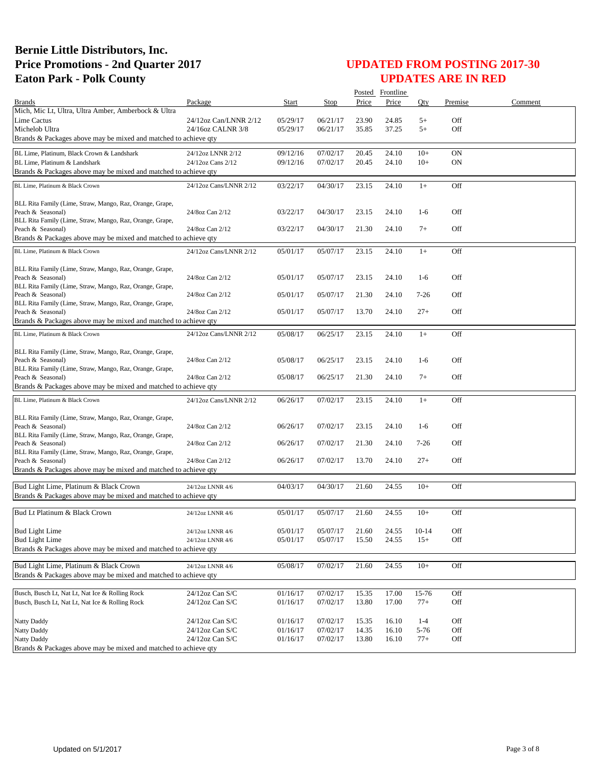|                                                                               |                        |          |          |       | Posted Frontline |          |         |         |
|-------------------------------------------------------------------------------|------------------------|----------|----------|-------|------------------|----------|---------|---------|
| <b>Brands</b>                                                                 | Package                | Start    | Stop     | Price | Price            | Oty      | Premise | Comment |
| Mich, Mic Lt, Ultra, Ultra Amber, Amberbock & Ultra                           |                        |          |          |       |                  |          |         |         |
| Lime Cactus                                                                   | 24/12oz Can/LNNR 2/12  | 05/29/17 | 06/21/17 | 23.90 | 24.85            | $5+$     | Off     |         |
| Michelob Ultra                                                                | 24/16oz CALNR 3/8      | 05/29/17 | 06/21/17 | 35.85 | 37.25            | $5+$     | Off     |         |
| Brands & Packages above may be mixed and matched to achieve qty               |                        |          |          |       |                  |          |         |         |
| BL Lime, Platinum, Black Crown & Landshark                                    | 24/12oz LNNR 2/12      | 09/12/16 | 07/02/17 | 20.45 | 24.10            | $10+$    | ON      |         |
| BL Lime, Platinum & Landshark                                                 | 24/12oz Cans 2/12      | 09/12/16 | 07/02/17 | 20.45 | 24.10            | $10+$    | ON      |         |
| Brands & Packages above may be mixed and matched to achieve qty               |                        |          |          |       |                  |          |         |         |
|                                                                               |                        |          |          |       |                  |          |         |         |
| BL Lime, Platinum & Black Crown                                               | 24/12oz Cans/LNNR 2/12 | 03/22/17 | 04/30/17 | 23.15 | 24.10            | $1+$     | Off     |         |
|                                                                               |                        |          |          |       |                  |          |         |         |
| BLL Rita Family (Lime, Straw, Mango, Raz, Orange, Grape,<br>Peach & Seasonal) | 24/8oz Can 2/12        | 03/22/17 | 04/30/17 | 23.15 | 24.10            | $1-6$    | Off     |         |
| BLL Rita Family (Lime, Straw, Mango, Raz, Orange, Grape,                      |                        |          |          |       |                  |          |         |         |
| Peach & Seasonal)                                                             | 24/8oz Can 2/12        | 03/22/17 | 04/30/17 | 21.30 | 24.10            | $7+$     | Off     |         |
| Brands & Packages above may be mixed and matched to achieve qty               |                        |          |          |       |                  |          |         |         |
|                                                                               |                        |          |          |       |                  |          |         |         |
| BL Lime, Platinum & Black Crown                                               | 24/12oz Cans/LNNR 2/12 | 05/01/17 | 05/07/17 | 23.15 | 24.10            | $1+$     | Off     |         |
|                                                                               |                        |          |          |       |                  |          |         |         |
| BLL Rita Family (Lime, Straw, Mango, Raz, Orange, Grape,                      |                        | 05/01/17 | 05/07/17 | 23.15 | 24.10            | $1-6$    | Off     |         |
| Peach & Seasonal)<br>BLL Rita Family (Lime, Straw, Mango, Raz, Orange, Grape, | 24/8oz Can 2/12        |          |          |       |                  |          |         |         |
| Peach & Seasonal)                                                             | 24/8oz Can 2/12        | 05/01/17 | 05/07/17 | 21.30 | 24.10            | $7 - 26$ | Off     |         |
| BLL Rita Family (Lime, Straw, Mango, Raz, Orange, Grape,                      |                        |          |          |       |                  |          |         |         |
| Peach & Seasonal)                                                             | 24/8oz Can 2/12        | 05/01/17 | 05/07/17 | 13.70 | 24.10            | $27+$    | Off     |         |
| Brands & Packages above may be mixed and matched to achieve qty               |                        |          |          |       |                  |          |         |         |
| BL Lime. Platinum & Black Crown                                               | 24/12oz Cans/LNNR 2/12 | 05/08/17 | 06/25/17 | 23.15 | 24.10            | $1+$     | Off     |         |
|                                                                               |                        |          |          |       |                  |          |         |         |
| BLL Rita Family (Lime, Straw, Mango, Raz, Orange, Grape,                      |                        |          |          |       |                  |          |         |         |
| Peach & Seasonal)                                                             | 24/8oz Can 2/12        | 05/08/17 | 06/25/17 | 23.15 | 24.10            | $1-6$    | Off     |         |
| BLL Rita Family (Lime, Straw, Mango, Raz, Orange, Grape,                      |                        |          |          |       |                  |          |         |         |
| Peach & Seasonal)                                                             | 24/8oz Can 2/12        | 05/08/17 | 06/25/17 | 21.30 | 24.10            | $7+$     | Off     |         |
| Brands & Packages above may be mixed and matched to achieve qty               |                        |          |          |       |                  |          |         |         |
| BL Lime, Platinum & Black Crown                                               | 24/12oz Cans/LNNR 2/12 | 06/26/17 | 07/02/17 | 23.15 | 24.10            | $1+$     | Off     |         |
|                                                                               |                        |          |          |       |                  |          |         |         |
| BLL Rita Family (Lime, Straw, Mango, Raz, Orange, Grape,                      |                        |          |          |       |                  |          |         |         |
| Peach & Seasonal)                                                             | 24/8oz Can 2/12        | 06/26/17 | 07/02/17 | 23.15 | 24.10            | $1-6$    | Off     |         |
| BLL Rita Family (Lime, Straw, Mango, Raz, Orange, Grape,                      |                        |          |          |       |                  |          |         |         |
| Peach & Seasonal)                                                             | 24/8oz Can 2/12        | 06/26/17 | 07/02/17 | 21.30 | 24.10            | $7 - 26$ | Off     |         |
| BLL Rita Family (Lime, Straw, Mango, Raz, Orange, Grape,                      |                        |          |          |       |                  |          |         |         |
| Peach & Seasonal)                                                             | 24/8oz Can 2/12        | 06/26/17 | 07/02/17 | 13.70 | 24.10            | $27+$    | Off     |         |
| Brands & Packages above may be mixed and matched to achieve qty               |                        |          |          |       |                  |          |         |         |
|                                                                               |                        |          |          |       |                  |          |         |         |
| Bud Light Lime, Platinum & Black Crown                                        | 24/12oz LNNR 4/6       | 04/03/17 | 04/30/17 | 21.60 | 24.55            | $10+$    | Off     |         |
| Brands & Packages above may be mixed and matched to achieve qty               |                        |          |          |       |                  |          |         |         |
| Bud Lt Platinum & Black Crown                                                 | 24/12oz LNNR 4/6       | 05/01/17 | 05/07/17 | 21.60 | 24.55            | $10+$    | Off     |         |
|                                                                               |                        |          |          |       |                  |          |         |         |
| <b>Bud Light Lime</b>                                                         | 24/12oz LNNR 4/6       | 05/01/17 | 05/07/17 | 21.60 | 24.55            | $10-14$  | Off     |         |
| <b>Bud Light Lime</b>                                                         | 24/12oz LNNR 4/6       | 05/01/17 | 05/07/17 | 15.50 | 24.55            | $15+$    | Off     |         |
| Brands & Packages above may be mixed and matched to achieve gty               |                        |          |          |       |                  |          |         |         |
|                                                                               |                        |          |          |       |                  |          |         |         |
| Bud Light Lime, Platinum & Black Crown                                        | 24/12oz LNNR 4/6       | 05/08/17 | 07/02/17 | 21.60 | 24.55            | $10+$    | Off     |         |
| Brands & Packages above may be mixed and matched to achieve gty               |                        |          |          |       |                  |          |         |         |
|                                                                               |                        |          |          |       |                  |          |         |         |
| Busch, Busch Lt, Nat Lt, Nat Ice & Rolling Rock                               | 24/12oz Can S/C        | 01/16/17 | 07/02/17 | 15.35 | 17.00            | 15-76    | Off     |         |
| Busch, Busch Lt, Nat Lt, Nat Ice & Rolling Rock                               | 24/12oz Can S/C        | 01/16/17 | 07/02/17 | 13.80 | 17.00            | $77+$    | Off     |         |
|                                                                               |                        |          |          |       |                  |          |         |         |
| Natty Daddy                                                                   | 24/12oz Can S/C        | 01/16/17 | 07/02/17 | 15.35 | 16.10            | $1 - 4$  | Off     |         |
| <b>Natty Daddy</b>                                                            | 24/12oz Can S/C        | 01/16/17 | 07/02/17 | 14.35 | 16.10            | 5-76     | Off     |         |
| Natty Daddy                                                                   | 24/12oz Can S/C        | 01/16/17 | 07/02/17 | 13.80 | 16.10            | $77+$    | Off     |         |
| Brands & Packages above may be mixed and matched to achieve qty               |                        |          |          |       |                  |          |         |         |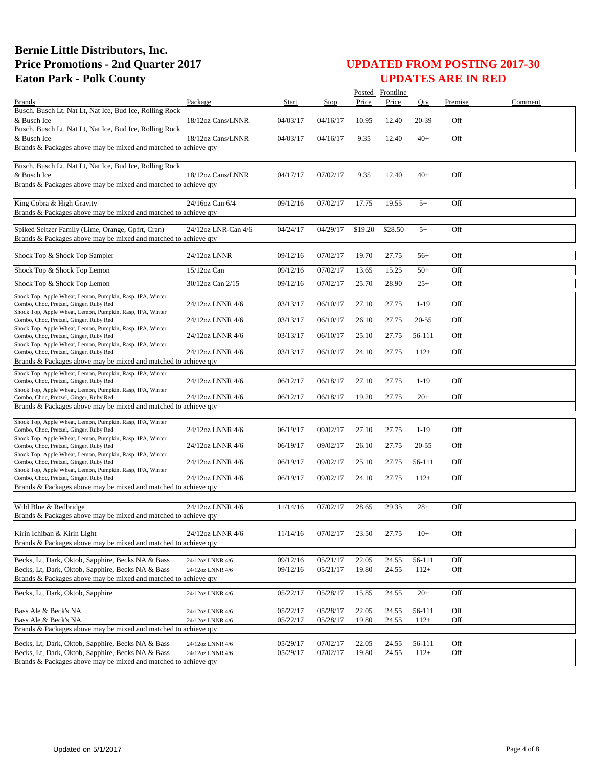|                                                                                                        |                     |          |                      |                | Posted Frontline |           |            |         |
|--------------------------------------------------------------------------------------------------------|---------------------|----------|----------------------|----------------|------------------|-----------|------------|---------|
| <b>Brands</b>                                                                                          | Package             | Start    | Stop                 | Price          | Price            | Oty       | Premise    | Comment |
| Busch, Busch Lt, Nat Lt, Nat Ice, Bud Ice, Rolling Rock                                                |                     |          |                      |                |                  |           |            |         |
| & Busch Ice<br>Busch, Busch Lt, Nat Lt, Nat Ice, Bud Ice, Rolling Rock                                 | 18/12oz Cans/LNNR   | 04/03/17 | 04/16/17             | 10.95          | 12.40            | 20-39     | Off        |         |
| & Busch Ice                                                                                            | 18/12oz Cans/LNNR   | 04/03/17 | 04/16/17             | 9.35           | 12.40            | $40+$     | Off        |         |
| Brands & Packages above may be mixed and matched to achieve qty                                        |                     |          |                      |                |                  |           |            |         |
|                                                                                                        |                     |          |                      |                |                  |           |            |         |
| Busch, Busch Lt, Nat Lt, Nat Ice, Bud Ice, Rolling Rock                                                |                     |          |                      |                |                  |           |            |         |
| & Busch Ice<br>Brands & Packages above may be mixed and matched to achieve qty                         | 18/12oz Cans/LNNR   | 04/17/17 | 07/02/17             | 9.35           | 12.40            | $40+$     | Off        |         |
|                                                                                                        |                     |          |                      |                |                  |           |            |         |
| King Cobra & High Gravity                                                                              | 24/16oz Can 6/4     | 09/12/16 | 07/02/17             | 17.75          | 19.55            | $5+$      | Off        |         |
| Brands & Packages above may be mixed and matched to achieve qty                                        |                     |          |                      |                |                  |           |            |         |
| Spiked Seltzer Family (Lime, Orange, Gpfrt, Cran)                                                      | 24/12oz LNR-Can 4/6 | 04/24/17 | 04/29/17             | \$19.20        | \$28.50          | $5+$      | Off        |         |
| Brands & Packages above may be mixed and matched to achieve qty                                        |                     |          |                      |                |                  |           |            |         |
|                                                                                                        |                     |          |                      |                |                  |           |            |         |
| Shock Top & Shock Top Sampler                                                                          | 24/12oz LNNR        | 09/12/16 | 07/02/17             | 19.70          | 27.75            | $56+$     | Off        |         |
| Shock Top & Shock Top Lemon                                                                            | 15/12oz Can         | 09/12/16 | 07/02/17             | 13.65          | 15.25            | $50+$     | Off        |         |
|                                                                                                        | 30/12oz Can 2/15    |          |                      |                |                  |           |            |         |
| Shock Top & Shock Top Lemon                                                                            |                     | 09/12/16 | 07/02/17             | 25.70          | 28.90            | $25+$     | Off        |         |
| Shock Top, Apple Wheat, Lemon, Pumpkin, Rasp, IPA, Winter<br>Combo, Choc, Pretzel, Ginger, Ruby Red    | 24/12oz LNNR 4/6    | 03/13/17 | 06/10/17             | 27.10          | 27.75            | $1-19$    | Off        |         |
| Shock Top, Apple Wheat, Lemon, Pumpkin, Rasp, IPA, Winter                                              |                     |          |                      |                |                  |           |            |         |
| Combo, Choc, Pretzel, Ginger, Ruby Red                                                                 | 24/12oz LNNR 4/6    | 03/13/17 | 06/10/17             | 26.10          | 27.75            | $20 - 55$ | Off        |         |
| Shock Top, Apple Wheat, Lemon, Pumpkin, Rasp, IPA, Winter<br>Combo, Choc, Pretzel, Ginger, Ruby Red    | 24/12oz LNNR 4/6    | 03/13/17 | 06/10/17             | 25.10          | 27.75            | 56-111    | Off        |         |
| Shock Top, Apple Wheat, Lemon, Pumpkin, Rasp, IPA, Winter                                              |                     |          |                      |                |                  |           |            |         |
| Combo, Choc, Pretzel, Ginger, Ruby Red                                                                 | 24/12oz LNNR 4/6    | 03/13/17 | 06/10/17             | 24.10          | 27.75            | $112+$    | Off        |         |
| Brands & Packages above may be mixed and matched to achieve qty                                        |                     |          |                      |                |                  |           |            |         |
| Shock Top, Apple Wheat, Lemon, Pumpkin, Rasp, IPA, Winter                                              |                     |          |                      |                |                  |           |            |         |
| Combo, Choc, Pretzel, Ginger, Ruby Red<br>Shock Top, Apple Wheat, Lemon, Pumpkin, Rasp, IPA, Winter    | 24/12oz LNNR 4/6    | 06/12/17 | 06/18/17             | 27.10          | 27.75            | $1-19$    | Off        |         |
| Combo, Choc, Pretzel, Ginger, Ruby Red                                                                 | 24/12oz LNNR 4/6    | 06/12/17 | 06/18/17             | 19.20          | 27.75            | $20+$     | Off        |         |
| Brands & Packages above may be mixed and matched to achieve qty                                        |                     |          |                      |                |                  |           |            |         |
| Shock Top, Apple Wheat, Lemon, Pumpkin, Rasp, IPA, Winter                                              |                     |          |                      |                |                  |           |            |         |
| Combo, Choc, Pretzel, Ginger, Ruby Red                                                                 | 24/12oz LNNR 4/6    | 06/19/17 | 09/02/17             | 27.10          | 27.75            | $1-19$    | Off        |         |
| Shock Top, Apple Wheat, Lemon, Pumpkin, Rasp, IPA, Winter                                              |                     |          |                      |                |                  |           |            |         |
| Combo, Choc, Pretzel, Ginger, Ruby Red<br>Shock Top, Apple Wheat, Lemon, Pumpkin, Rasp, IPA, Winter    | 24/12oz LNNR 4/6    | 06/19/17 | 09/02/17             | 26.10          | 27.75            | $20 - 55$ | Off        |         |
| Combo, Choc, Pretzel, Ginger, Ruby Red                                                                 | 24/12oz LNNR 4/6    | 06/19/17 | 09/02/17             | 25.10          | 27.75            | 56-111    | Off        |         |
| Shock Top, Apple Wheat, Lemon, Pumpkin, Rasp, IPA, Winter<br>Combo, Choc, Pretzel, Ginger, Ruby Red    | 24/12oz LNNR 4/6    | 06/19/17 | 09/02/17             | 24.10          | 27.75            | $112+$    | Off        |         |
| Brands & Packages above may be mixed and matched to achieve qty                                        |                     |          |                      |                |                  |           |            |         |
|                                                                                                        |                     |          |                      |                |                  |           |            |         |
| Wild Blue & Redbridge                                                                                  | 24/12oz LNNR 4/6    | 11/14/16 | 07/02/17             | 28.65          | 29.35            | $28+$     | Off        |         |
| Brands & Packages above may be mixed and matched to achieve qty                                        |                     |          |                      |                |                  |           |            |         |
|                                                                                                        | 24/12oz LNNR 4/6    |          |                      |                |                  |           |            |         |
| Kirin Ichiban & Kirin Light<br>Brands & Packages above may be mixed and matched to achieve qty         |                     | 11/14/16 | 07/02/17             | 23.50          | 27.75            | $10+$     | Off        |         |
|                                                                                                        |                     |          |                      |                |                  |           |            |         |
| Becks, Lt, Dark, Oktob, Sapphire, Becks NA & Bass                                                      | 24/12oz LNNR 4/6    | 09/12/16 | 05/21/17             | 22.05          | 24.55            | 56-111    | Off        |         |
| Becks, Lt, Dark, Oktob, Sapphire, Becks NA & Bass                                                      | 24/12oz LNNR 4/6    | 09/12/16 | 05/21/17             | 19.80          | 24.55            | $112+$    | Off        |         |
| Brands & Packages above may be mixed and matched to achieve qty                                        |                     |          |                      |                |                  |           |            |         |
| Becks, Lt, Dark, Oktob, Sapphire                                                                       | 24/12oz LNNR 4/6    | 05/22/17 | 05/28/17             | 15.85          | 24.55            | $20+$     | Off        |         |
|                                                                                                        |                     |          |                      |                |                  |           |            |         |
| Bass Ale & Beck's NA                                                                                   | 24/12oz LNNR 4/6    | 05/22/17 | 05/28/17             | 22.05          | 24.55            | 56-111    | Off        |         |
| Bass Ale & Beck's NA<br>Brands & Packages above may be mixed and matched to achieve qty                | 24/12oz LNNR 4/6    | 05/22/17 | 05/28/17             | 19.80          | 24.55            | $112+$    | Off        |         |
|                                                                                                        |                     |          |                      |                |                  |           |            |         |
| Becks, Lt, Dark, Oktob, Sapphire, Becks NA & Bass<br>Becks, Lt, Dark, Oktob, Sapphire, Becks NA & Bass | 24/12oz LNNR 4/6    | 05/29/17 | 07/02/17<br>07/02/17 | 22.05<br>19.80 | 24.55<br>24.55   | 56-111    | Off<br>Off |         |
| Brands & Packages above may be mixed and matched to achieve qty                                        | 24/12oz LNNR 4/6    | 05/29/17 |                      |                |                  | $112+$    |            |         |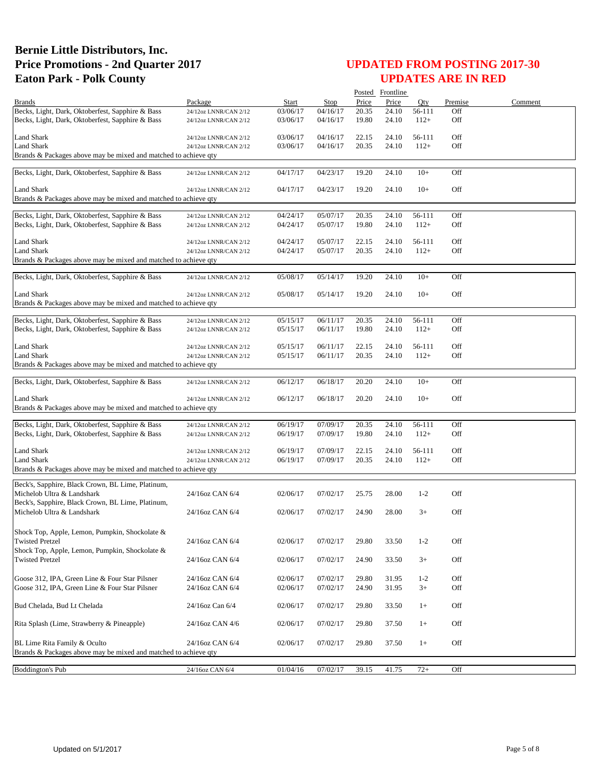|                                                                                                 |                                                |                      |                      |                | Posted Frontline |         |         |         |
|-------------------------------------------------------------------------------------------------|------------------------------------------------|----------------------|----------------------|----------------|------------------|---------|---------|---------|
| <b>Brands</b>                                                                                   | Package                                        | Start                | <b>Stop</b>          | Price          | Price            | Otv     | Premise | Comment |
| Becks, Light, Dark, Oktoberfest, Sapphire & Bass                                                | 24/12oz LNNR/CAN 2/12                          | 03/06/17             | 04/16/17             | 20.35          | 24.10            | 56-111  | Off     |         |
| Becks, Light, Dark, Oktoberfest, Sapphire & Bass                                                | 24/12oz LNNR/CAN 2/12                          | 03/06/17             | 04/16/17             | 19.80          | 24.10            | $112+$  | Off     |         |
| Land Shark                                                                                      | 24/12oz LNNR/CAN 2/12                          | 03/06/17             | 04/16/17             | 22.15          | 24.10            | 56-111  | Off     |         |
| <b>Land Shark</b>                                                                               | 24/12oz LNNR/CAN 2/12                          | 03/06/17             | 04/16/17             | 20.35          | 24.10            | $112+$  | Off     |         |
| Brands & Packages above may be mixed and matched to achieve qty                                 |                                                |                      |                      |                |                  |         |         |         |
|                                                                                                 |                                                |                      |                      |                |                  |         |         |         |
| Becks, Light, Dark, Oktoberfest, Sapphire & Bass                                                | 24/12oz LNNR/CAN 2/12                          | 04/17/17             | 04/23/17             | 19.20          | 24.10            | $10+$   | Off     |         |
| Land Shark                                                                                      |                                                | 04/17/17             | 04/23/17             | 19.20          | 24.10            | $10+$   | Off     |         |
| Brands & Packages above may be mixed and matched to achieve qty                                 | 24/12oz LNNR/CAN 2/12                          |                      |                      |                |                  |         |         |         |
|                                                                                                 |                                                |                      |                      |                |                  |         |         |         |
| Becks, Light, Dark, Oktoberfest, Sapphire & Bass                                                | 24/12oz LNNR/CAN 2/12                          | 04/24/17             | 05/07/17             | 20.35          | 24.10            | 56-111  | Off     |         |
| Becks, Light, Dark, Oktoberfest, Sapphire & Bass                                                | 24/12oz LNNR/CAN 2/12                          | 04/24/17             | 05/07/17             | 19.80          | 24.10            | $112+$  | Off     |         |
|                                                                                                 |                                                |                      |                      |                |                  |         |         |         |
| <b>Land Shark</b>                                                                               | 24/12oz LNNR/CAN 2/12                          | 04/24/17             | 05/07/17             | 22.15          | 24.10            | 56-111  | Off     |         |
| Land Shark                                                                                      | 24/12oz LNNR/CAN 2/12                          | 04/24/17             | 05/07/17             | 20.35          | 24.10            | $112+$  | Off     |         |
| Brands & Packages above may be mixed and matched to achieve qty                                 |                                                |                      |                      |                |                  |         |         |         |
| Becks, Light, Dark, Oktoberfest, Sapphire & Bass                                                | 24/12oz LNNR/CAN 2/12                          | 05/08/17             | 05/14/17             | 19.20          | 24.10            | $10+$   | Off     |         |
|                                                                                                 |                                                |                      |                      |                |                  |         |         |         |
| Land Shark                                                                                      | 24/12oz LNNR/CAN 2/12                          | 05/08/17             | 05/14/17             | 19.20          | 24.10            | $10+$   | Off     |         |
| Brands & Packages above may be mixed and matched to achieve qty                                 |                                                |                      |                      |                |                  |         |         |         |
| Becks, Light, Dark, Oktoberfest, Sapphire & Bass                                                |                                                |                      |                      |                |                  | 56-111  | Off     |         |
| Becks, Light, Dark, Oktoberfest, Sapphire & Bass                                                | 24/12oz LNNR/CAN 2/12<br>24/12oz LNNR/CAN 2/12 | 05/15/17<br>05/15/17 | 06/11/17<br>06/11/17 | 20.35<br>19.80 | 24.10<br>24.10   | $112+$  | Off     |         |
|                                                                                                 |                                                |                      |                      |                |                  |         |         |         |
| Land Shark                                                                                      | 24/12oz LNNR/CAN 2/12                          | 05/15/17             | 06/11/17             | 22.15          | 24.10            | 56-111  | Off     |         |
| <b>Land Shark</b>                                                                               | 24/12oz LNNR/CAN 2/12                          | 05/15/17             | 06/11/17             | 20.35          | 24.10            | $112+$  | Off     |         |
| Brands & Packages above may be mixed and matched to achieve qty                                 |                                                |                      |                      |                |                  |         |         |         |
|                                                                                                 |                                                |                      |                      |                |                  |         |         |         |
| Becks, Light, Dark, Oktoberfest, Sapphire & Bass                                                | 24/12oz LNNR/CAN 2/12                          | 06/12/17             | 06/18/17             | 20.20          | 24.10            | $10+$   | Off     |         |
| Land Shark                                                                                      | 24/12oz LNNR/CAN 2/12                          | 06/12/17             | 06/18/17             | 20.20          | 24.10            | $10+$   | Off     |         |
| Brands & Packages above may be mixed and matched to achieve qty                                 |                                                |                      |                      |                |                  |         |         |         |
|                                                                                                 |                                                |                      |                      |                |                  |         |         |         |
| Becks, Light, Dark, Oktoberfest, Sapphire & Bass                                                | 24/12oz LNNR/CAN 2/12                          | 06/19/17             | 07/09/17             | 20.35          | 24.10            | 56-111  | Off     |         |
| Becks, Light, Dark, Oktoberfest, Sapphire & Bass                                                | 24/12oz LNNR/CAN 2/12                          | 06/19/17             | 07/09/17             | 19.80          | 24.10            | $112+$  | Off     |         |
| <b>Land Shark</b>                                                                               | 24/12oz LNNR/CAN 2/12                          | 06/19/17             | 07/09/17             | 22.15          | 24.10            | 56-111  | Off     |         |
| Land Shark                                                                                      | 24/12oz LNNR/CAN 2/12                          | 06/19/17             | 07/09/17             | 20.35          | 24.10            | $112+$  | Off     |         |
| Brands & Packages above may be mixed and matched to achieve qty                                 |                                                |                      |                      |                |                  |         |         |         |
|                                                                                                 |                                                |                      |                      |                |                  |         |         |         |
| Beck's, Sapphire, Black Crown, BL Lime, Platinum,                                               |                                                |                      |                      |                |                  |         |         |         |
| Michelob Ultra & Landshark                                                                      | 24/16oz CAN 6/4                                | 02/06/17             | 07/02/17             | 25.75          | 28.00            | $1-2$   | Off     |         |
| Beck's, Sapphire, Black Crown, BL Lime, Platinum,                                               |                                                |                      |                      |                |                  |         |         |         |
| Michelob Ultra & Landshark                                                                      | 24/16oz CAN 6/4                                | 02/06/17             | 07/02/17             | 24.90          | 28.00            | $3+$    | Off     |         |
|                                                                                                 |                                                |                      |                      |                |                  |         |         |         |
| Shock Top, Apple, Lemon, Pumpkin, Shockolate &<br><b>Twisted Pretzel</b>                        | 24/16oz CAN 6/4                                | 02/06/17             | 07/02/17             | 29.80          | 33.50            | $1 - 2$ | Off     |         |
| Shock Top, Apple, Lemon, Pumpkin, Shockolate &                                                  |                                                |                      |                      |                |                  |         |         |         |
| <b>Twisted Pretzel</b>                                                                          | 24/16oz CAN 6/4                                | 02/06/17             | 07/02/17             | 24.90          | 33.50            | $3+$    | Off     |         |
|                                                                                                 |                                                |                      |                      |                |                  |         |         |         |
| Goose 312, IPA, Green Line & Four Star Pilsner                                                  | 24/16oz CAN 6/4                                | 02/06/17             | 07/02/17             | 29.80          | 31.95            | $1 - 2$ | Off     |         |
| Goose 312, IPA, Green Line & Four Star Pilsner                                                  | 24/16oz CAN 6/4                                | 02/06/17             | 07/02/17             | 24.90          | 31.95            | $3+$    | Off     |         |
|                                                                                                 |                                                |                      |                      |                |                  |         |         |         |
| Bud Chelada, Bud Lt Chelada                                                                     | 24/16oz Can 6/4                                | 02/06/17             | 07/02/17             | 29.80          | 33.50            | $1+$    | Off     |         |
|                                                                                                 |                                                |                      |                      |                |                  |         |         |         |
| Rita Splash (Lime, Strawberry & Pineapple)                                                      | 24/16oz CAN 4/6                                | 02/06/17             | 07/02/17             | 29.80          | 37.50            | $1+$    | Off     |         |
|                                                                                                 |                                                |                      |                      |                |                  |         |         |         |
| BL Lime Rita Family & Oculto<br>Brands & Packages above may be mixed and matched to achieve qty | 24/16oz CAN 6/4                                | 02/06/17             | 07/02/17             | 29.80          | 37.50            | $1+$    | Off     |         |
|                                                                                                 |                                                |                      |                      |                |                  |         |         |         |
| <b>Boddington's Pub</b>                                                                         | 24/16oz CAN 6/4                                | 01/04/16             | 07/02/17             | 39.15          | 41.75            | $72+$   | Off     |         |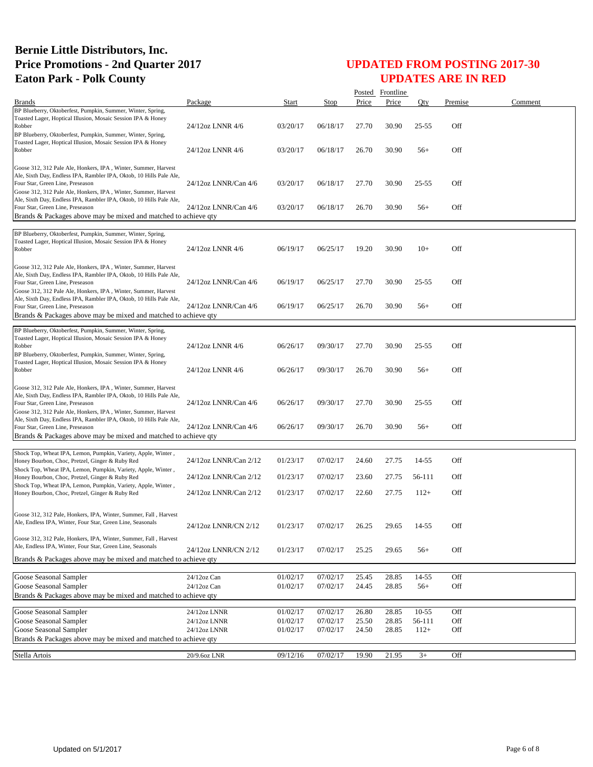|                                                                                                                                                                                                                                             |                       |          |          |       | Posted Frontline |           |         |         |
|---------------------------------------------------------------------------------------------------------------------------------------------------------------------------------------------------------------------------------------------|-----------------------|----------|----------|-------|------------------|-----------|---------|---------|
| <b>Brands</b>                                                                                                                                                                                                                               | Package               | Start    | Stop     | Price | Price            | Qty       | Premise | Comment |
| BP Blueberry, Oktoberfest, Pumpkin, Summer, Winter, Spring,<br>Toasted Lager, Hoptical Illusion, Mosaic Session IPA & Honey<br>Robber<br>BP Blueberry, Oktoberfest, Pumpkin, Summer, Winter, Spring,                                        | 24/12oz LNNR 4/6      | 03/20/17 | 06/18/17 | 27.70 | 30.90            | $25 - 55$ | Off     |         |
| Toasted Lager, Hoptical Illusion, Mosaic Session IPA & Honey<br>Robber                                                                                                                                                                      | 24/12oz LNNR 4/6      | 03/20/17 | 06/18/17 | 26.70 | 30.90            | $56+$     | Off     |         |
| Goose 312, 312 Pale Ale, Honkers, IPA, Winter, Summer, Harvest<br>Ale, Sixth Day, Endless IPA, Rambler IPA, Oktob, 10 Hills Pale Ale,<br>Four Star, Green Line, Preseason<br>Goose 312, 312 Pale Ale, Honkers, IPA, Winter, Summer, Harvest | 24/12oz LNNR/Can 4/6  | 03/20/17 | 06/18/17 | 27.70 | 30.90            | $25 - 55$ | Off     |         |
| Ale, Sixth Day, Endless IPA, Rambler IPA, Oktob, 10 Hills Pale Ale,<br>Four Star, Green Line, Preseason<br>Brands & Packages above may be mixed and matched to achieve qty                                                                  | 24/12oz LNNR/Can 4/6  | 03/20/17 | 06/18/17 | 26.70 | 30.90            | $56+$     | Off     |         |
|                                                                                                                                                                                                                                             |                       |          |          |       |                  |           |         |         |
| BP Blueberry, Oktoberfest, Pumpkin, Summer, Winter, Spring,<br>Toasted Lager, Hoptical Illusion, Mosaic Session IPA & Honey<br>Robber                                                                                                       | 24/12oz LNNR 4/6      | 06/19/17 | 06/25/17 | 19.20 | 30.90            | $10+$     | Off     |         |
| Goose 312, 312 Pale Ale, Honkers, IPA, Winter, Summer, Harvest<br>Ale, Sixth Day, Endless IPA, Rambler IPA, Oktob, 10 Hills Pale Ale,<br>Four Star, Green Line, Preseason<br>Goose 312, 312 Pale Ale, Honkers, IPA, Winter, Summer, Harvest | 24/12oz LNNR/Can 4/6  | 06/19/17 | 06/25/17 | 27.70 | 30.90            | $25 - 55$ | Off     |         |
| Ale, Sixth Day, Endless IPA, Rambler IPA, Oktob, 10 Hills Pale Ale,<br>Four Star, Green Line, Preseason<br>Brands & Packages above may be mixed and matched to achieve qty                                                                  | 24/12oz LNNR/Can 4/6  | 06/19/17 | 06/25/17 | 26.70 | 30.90            | $56+$     | Off     |         |
| BP Blueberry, Oktoberfest, Pumpkin, Summer, Winter, Spring,<br>Toasted Lager, Hoptical Illusion, Mosaic Session IPA & Honey<br>Robber<br>BP Blueberry, Oktoberfest, Pumpkin, Summer, Winter, Spring,                                        | 24/12oz LNNR 4/6      | 06/26/17 | 09/30/17 | 27.70 | 30.90            | $25 - 55$ | Off     |         |
| Toasted Lager, Hoptical Illusion, Mosaic Session IPA & Honey<br>Robber                                                                                                                                                                      | 24/12oz LNNR 4/6      | 06/26/17 | 09/30/17 | 26.70 | 30.90            | $56+$     | Off     |         |
| Goose 312, 312 Pale Ale, Honkers, IPA, Winter, Summer, Harvest<br>Ale, Sixth Day, Endless IPA, Rambler IPA, Oktob, 10 Hills Pale Ale,<br>Four Star, Green Line, Preseason<br>Goose 312, 312 Pale Ale, Honkers, IPA, Winter, Summer, Harvest | 24/12oz LNNR/Can 4/6  | 06/26/17 | 09/30/17 | 27.70 | 30.90            | $25 - 55$ | Off     |         |
| Ale, Sixth Day, Endless IPA, Rambler IPA, Oktob, 10 Hills Pale Ale,<br>Four Star, Green Line, Preseason<br>Brands & Packages above may be mixed and matched to achieve qty                                                                  | 24/12oz LNNR/Can 4/6  | 06/26/17 | 09/30/17 | 26.70 | 30.90            | $56+$     | Off     |         |
|                                                                                                                                                                                                                                             |                       |          |          |       |                  |           |         |         |
| Shock Top, Wheat IPA, Lemon, Pumpkin, Variety, Apple, Winter,<br>Honey Bourbon, Choc, Pretzel, Ginger & Ruby Red<br>Shock Top, Wheat IPA, Lemon, Pumpkin, Variety, Apple, Winter,                                                           | 24/12oz LNNR/Can 2/12 | 01/23/17 | 07/02/17 | 24.60 | 27.75            | 14-55     | Off     |         |
| Honey Bourbon, Choc, Pretzel, Ginger & Ruby Red                                                                                                                                                                                             | 24/12oz LNNR/Can 2/12 | 01/23/17 | 07/02/17 | 23.60 | 27.75            | 56-111    | Off     |         |
| Shock Top, Wheat IPA, Lemon, Pumpkin, Variety, Apple, Winter,<br>Honey Bourbon, Choc, Pretzel, Ginger & Ruby Red                                                                                                                            | 24/12oz LNNR/Can 2/12 | 01/23/17 | 07/02/17 | 22.60 | 27.75            | $112+$    | Off     |         |
| Goose 312, 312 Pale, Honkers, IPA, Winter, Summer, Fall, Harvest<br>Ale, Endless IPA, Winter, Four Star, Green Line, Seasonals                                                                                                              | 24/12oz LNNR/CN 2/12  | 01/23/17 | 07/02/17 | 26.25 | 29.65            | 14-55     | Off     |         |
| Goose 312, 312 Pale, Honkers, IPA, Winter, Summer, Fall, Harvest<br>Ale, Endless IPA, Winter, Four Star, Green Line, Seasonals<br>Brands & Packages above may be mixed and matched to achieve qty                                           | 24/12oz LNNR/CN 2/12  | 01/23/17 | 07/02/17 | 25.25 | 29.65            | $56+$     | Off     |         |
|                                                                                                                                                                                                                                             |                       |          |          |       |                  |           |         |         |
| Goose Seasonal Sampler                                                                                                                                                                                                                      | 24/12oz Can           | 01/02/17 | 07/02/17 | 25.45 | 28.85            | 14-55     | Off     |         |
| Goose Seasonal Sampler                                                                                                                                                                                                                      | 24/12oz Can           | 01/02/17 | 07/02/17 | 24.45 | 28.85            | $56+$     | Off     |         |
| Brands & Packages above may be mixed and matched to achieve qty                                                                                                                                                                             |                       |          |          |       |                  |           |         |         |
| Goose Seasonal Sampler                                                                                                                                                                                                                      | 24/12oz LNNR          | 01/02/17 | 07/02/17 | 26.80 | 28.85            | $10 - 55$ | Off     |         |
| Goose Seasonal Sampler                                                                                                                                                                                                                      | 24/12oz LNNR          | 01/02/17 | 07/02/17 | 25.50 | 28.85            | 56-111    | Off     |         |
| Goose Seasonal Sampler                                                                                                                                                                                                                      | 24/12oz LNNR          | 01/02/17 | 07/02/17 | 24.50 | 28.85            | $112+$    | Off     |         |
| Brands & Packages above may be mixed and matched to achieve qty                                                                                                                                                                             |                       |          |          |       |                  |           |         |         |
| Stella Artois                                                                                                                                                                                                                               | 20/9.6oz LNR          | 09/12/16 | 07/02/17 | 19.90 | 21.95            | $3+$      | Off     |         |
|                                                                                                                                                                                                                                             |                       |          |          |       |                  |           |         |         |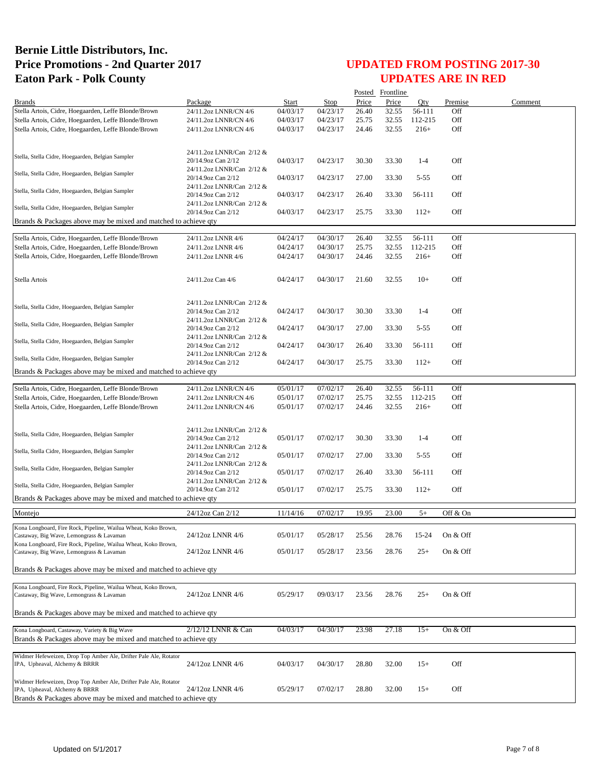|                                                                                                              |                                                 |                      |             |       | Posted Frontline |          |            |         |
|--------------------------------------------------------------------------------------------------------------|-------------------------------------------------|----------------------|-------------|-------|------------------|----------|------------|---------|
| <b>Brands</b>                                                                                                | Package                                         | Start                | <b>Stop</b> | Price | Price            | Oty      | Premise    | Comment |
| Stella Artois, Cidre, Hoegaarden, Leffe Blonde/Brown                                                         | 24/11.2oz LNNR/CN 4/6                           | 04/03/17             | 04/23/17    | 26.40 | 32.55            | 56-111   | Off        |         |
| Stella Artois, Cidre, Hoegaarden, Leffe Blonde/Brown                                                         | 24/11.2oz LNNR/CN 4/6                           | 04/03/17             | 04/23/17    | 25.75 | 32.55            | 112-215  | Off        |         |
| Stella Artois, Cidre, Hoegaarden, Leffe Blonde/Brown                                                         | 24/11.2oz LNNR/CN 4/6                           | 04/03/17             | 04/23/17    | 24.46 | 32.55            | $216+$   | Off        |         |
|                                                                                                              |                                                 |                      |             |       |                  |          |            |         |
| Stella, Stella Cidre, Hoegaarden, Belgian Sampler                                                            | 24/11.2oz LNNR/Can 2/12 &<br>20/14.9oz Can 2/12 | 04/03/17             | 04/23/17    | 30.30 | 33.30            | $1-4$    | Off        |         |
| Stella, Stella Cidre, Hoegaarden, Belgian Sampler                                                            | 24/11.2oz LNNR/Can 2/12 &<br>20/14.9oz Can 2/12 | 04/03/17             | 04/23/17    | 27.00 | 33.30            | $5 - 55$ | Off        |         |
| Stella, Stella Cidre, Hoegaarden, Belgian Sampler                                                            | 24/11.2oz LNNR/Can 2/12 &<br>20/14.9oz Can 2/12 | 04/03/17             | 04/23/17    | 26.40 | 33.30            | 56-111   | Off        |         |
| Stella, Stella Cidre, Hoegaarden, Belgian Sampler                                                            | 24/11.2oz LNNR/Can 2/12 &                       |                      |             |       |                  |          |            |         |
| Brands & Packages above may be mixed and matched to achieve qty                                              | 20/14.9oz Can 2/12                              | 04/03/17             | 04/23/17    | 25.75 | 33.30            | $112+$   | Off        |         |
|                                                                                                              |                                                 |                      |             |       |                  |          |            |         |
| Stella Artois, Cidre, Hoegaarden, Leffe Blonde/Brown                                                         | 24/11.2oz LNNR 4/6                              | 04/24/17             | 04/30/17    | 26.40 | 32.55            | 56-111   | Off        |         |
| Stella Artois, Cidre, Hoegaarden, Leffe Blonde/Brown                                                         | 24/11.2oz LNNR 4/6                              | 04/24/17             | 04/30/17    | 25.75 | 32.55            | 112-215  | Off        |         |
| Stella Artois, Cidre, Hoegaarden, Leffe Blonde/Brown                                                         | 24/11.2oz LNNR 4/6                              | 04/24/17             | 04/30/17    | 24.46 | 32.55            | $216+$   | Off        |         |
|                                                                                                              |                                                 |                      |             |       |                  |          |            |         |
| Stella Artois                                                                                                | 24/11.2oz Can 4/6                               | 04/24/17             | 04/30/17    | 21.60 | 32.55            | $10+$    | Off        |         |
|                                                                                                              | 24/11.2oz LNNR/Can 2/12 &                       |                      |             |       |                  |          |            |         |
| Stella, Stella Cidre, Hoegaarden, Belgian Sampler                                                            | 20/14.9oz Can 2/12                              | 04/24/17             | 04/30/17    | 30.30 | 33.30            | $1 - 4$  | Off        |         |
| Stella, Stella Cidre, Hoegaarden, Belgian Sampler                                                            | 24/11.2oz LNNR/Can 2/12 &                       | 04/24/17             | 04/30/17    | 27.00 | 33.30            | $5 - 55$ | Off        |         |
|                                                                                                              | 20/14.9oz Can 2/12<br>24/11.2oz LNNR/Can 2/12 & |                      |             |       |                  |          |            |         |
| Stella, Stella Cidre, Hoegaarden, Belgian Sampler                                                            | 20/14.9oz Can 2/12<br>24/11.2oz LNNR/Can 2/12 & | 04/24/17             | 04/30/17    | 26.40 | 33.30            | 56-111   | Off        |         |
| Stella, Stella Cidre, Hoegaarden, Belgian Sampler                                                            | 20/14.9oz Can 2/12                              | 04/24/17             | 04/30/17    | 25.75 | 33.30            | $112+$   | Off        |         |
| Brands & Packages above may be mixed and matched to achieve qty                                              |                                                 |                      |             |       |                  |          |            |         |
|                                                                                                              | 24/11.2oz LNNR/CN 4/6                           | 05/01/17             | 07/02/17    | 26.40 | 32.55            | 56-111   | Off        |         |
| Stella Artois, Cidre, Hoegaarden, Leffe Blonde/Brown                                                         |                                                 |                      | 07/02/17    | 25.75 |                  | 112-215  | Off        |         |
| Stella Artois, Cidre, Hoegaarden, Leffe Blonde/Brown<br>Stella Artois, Cidre, Hoegaarden, Leffe Blonde/Brown | 24/11.2oz LNNR/CN 4/6<br>24/11.2oz LNNR/CN 4/6  | 05/01/17<br>05/01/17 | 07/02/17    | 24.46 | 32.55<br>32.55   | $216+$   | Off        |         |
|                                                                                                              |                                                 |                      |             |       |                  |          |            |         |
|                                                                                                              | 24/11.2oz LNNR/Can 2/12 &                       |                      |             |       |                  |          |            |         |
| Stella, Stella Cidre, Hoegaarden, Belgian Sampler                                                            | 20/14.9oz Can 2/12                              | 05/01/17             | 07/02/17    | 30.30 | 33.30            | $1-4$    | Off        |         |
| Stella, Stella Cidre, Hoegaarden, Belgian Sampler                                                            | 24/11.2oz LNNR/Can 2/12 &<br>20/14.9oz Can 2/12 | 05/01/17             | 07/02/17    | 27.00 | 33.30            | $5 - 55$ | Off        |         |
| Stella, Stella Cidre, Hoegaarden, Belgian Sampler                                                            | 24/11.2oz LNNR/Can 2/12 &                       |                      |             |       |                  |          |            |         |
|                                                                                                              | 20/14.9oz Can 2/12<br>24/11.2oz LNNR/Can 2/12 & | 05/01/17             | 07/02/17    | 26.40 | 33.30            | 56-111   | Off        |         |
| Stella, Stella Cidre, Hoegaarden, Belgian Sampler                                                            | 20/14.9oz Can 2/12                              | 05/01/17             | 07/02/17    | 25.75 | 33.30            | $112+$   | Off        |         |
| Brands & Packages above may be mixed and matched to achieve qty                                              |                                                 |                      |             |       |                  |          |            |         |
| Montejo                                                                                                      | 24/12oz Can 2/12                                | 11/14/16             | 07/02/17    | 19.95 | 23.00            | $5+$     | Off & On   |         |
| Kona Longboard, Fire Rock, Pipeline, Wailua Wheat, Koko Brown,                                               |                                                 |                      |             |       |                  |          |            |         |
| Castaway, Big Wave, Lemongrass & Lavaman<br>Kona Longboard, Fire Rock, Pipeline, Wailua Wheat, Koko Brown,   | 24/12oz LNNR 4/6                                | 05/01/17             | 05/28/17    | 25.56 | 28.76            | 15-24    | On & Off   |         |
| Castaway, Big Wave, Lemongrass & Lavaman                                                                     | 24/12oz LNNR 4/6                                | 05/01/17             | 05/28/17    | 23.56 | 28.76            | $25+$    | On & Off   |         |
| Brands & Packages above may be mixed and matched to achieve qty                                              |                                                 |                      |             |       |                  |          |            |         |
|                                                                                                              |                                                 |                      |             |       |                  |          |            |         |
| Kona Longboard, Fire Rock, Pipeline, Wailua Wheat, Koko Brown,                                               |                                                 |                      |             |       |                  |          |            |         |
| Castaway, Big Wave, Lemongrass & Lavaman                                                                     | 24/12oz LNNR 4/6                                | 05/29/17             | 09/03/17    | 23.56 | 28.76            | $^{25+}$ | On $&$ Off |         |
| Brands & Packages above may be mixed and matched to achieve qty                                              |                                                 |                      |             |       |                  |          |            |         |
| Kona Longboard, Castaway, Variety & Big Wave                                                                 | 2/12/12 LNNR & Can                              | 04/03/17             | 04/30/17    | 23.98 | 27.18            | $15+$    | On & Off   |         |
| Brands & Packages above may be mixed and matched to achieve qty                                              |                                                 |                      |             |       |                  |          |            |         |
|                                                                                                              |                                                 |                      |             |       |                  |          |            |         |
| Widmer Hefeweizen, Drop Top Amber Ale, Drifter Pale Ale, Rotator<br>IPA, Upheaval, Alchemy & BRRR            | 24/12oz LNNR 4/6                                | 04/03/17             | 04/30/17    | 28.80 | 32.00            | $15+$    | Off        |         |
|                                                                                                              |                                                 |                      |             |       |                  |          |            |         |
| Widmer Hefeweizen, Drop Top Amber Ale, Drifter Pale Ale, Rotator<br>IPA, Upheaval, Alchemy & BRRR            | 24/12oz LNNR 4/6                                |                      | 07/02/17    | 28.80 | 32.00            | $15+$    | Off        |         |
| Brands & Packages above may be mixed and matched to achieve qty                                              |                                                 | 05/29/17             |             |       |                  |          |            |         |